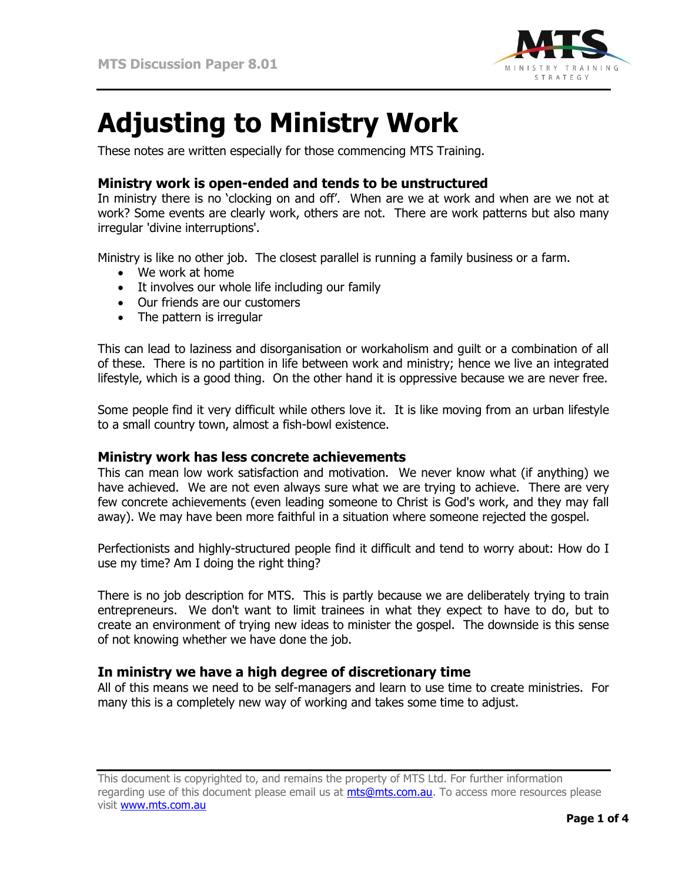

# **Adjusting to Ministry Work**

These notes are written especially for those commencing MTS Training.

# **Ministry work is open-ended and tends to be unstructured**

In ministry there is no 'clocking on and off'. When are we at work and when are we not at work? Some events are clearly work, others are not. There are work patterns but also many irregular 'divine interruptions'.

Ministry is like no other job. The closest parallel is running a family business or a farm.

- We work at home
- It involves our whole life including our family
- Our friends are our customers
- The pattern is irregular

This can lead to laziness and disorganisation or workaholism and guilt or a combination of all of these. There is no partition in life between work and ministry; hence we live an integrated lifestyle, which is a good thing. On the other hand it is oppressive because we are never free.

Some people find it very difficult while others love it. It is like moving from an urban lifestyle to a small country town, almost a fish-bowl existence.

## **Ministry work has less concrete achievements**

This can mean low work satisfaction and motivation. We never know what (if anything) we have achieved. We are not even always sure what we are trying to achieve. There are very few concrete achievements (even leading someone to Christ is God's work, and they may fall away). We may have been more faithful in a situation where someone rejected the gospel.

Perfectionists and highly-structured people find it difficult and tend to worry about: How do I use my time? Am I doing the right thing?

There is no job description for MTS. This is partly because we are deliberately trying to train entrepreneurs. We don't want to limit trainees in what they expect to have to do, but to create an environment of trying new ideas to minister the gospel. The downside is this sense of not knowing whether we have done the job.

# **In ministry we have a high degree of discretionary time**

All of this means we need to be self-managers and learn to use time to create ministries. For many this is a completely new way of working and takes some time to adjust.

This document is copyrighted to, and remains the property of MTS Ltd. For further information regarding use of this document please email us at [mts@mts.com.au.](mailto:mts@mts.com.au) To access more resources please visit [www.mts.com.au](http://www.mts.com.au/)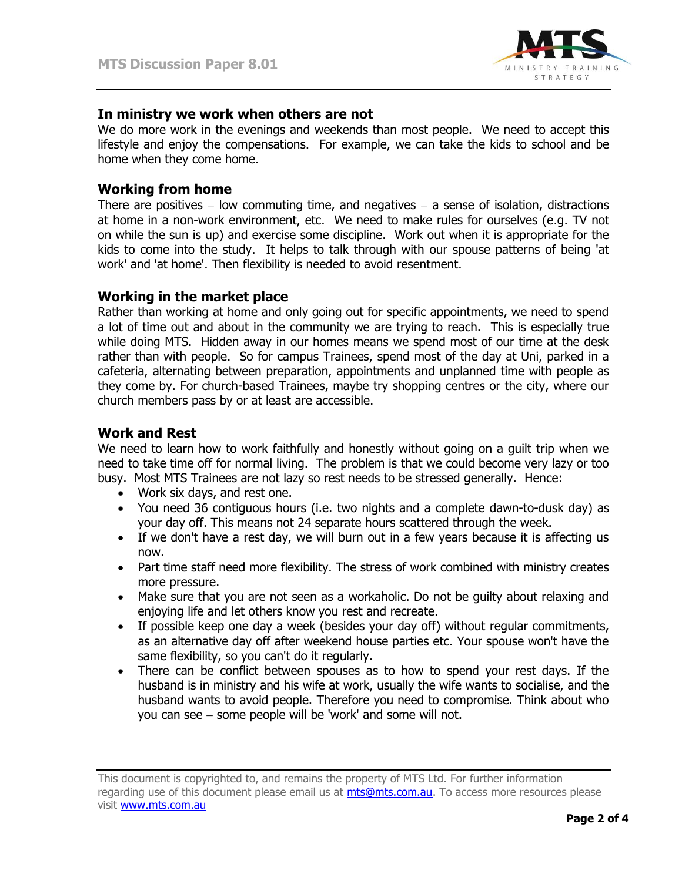

## **In ministry we work when others are not**

We do more work in the evenings and weekends than most people. We need to accept this lifestyle and enjoy the compensations. For example, we can take the kids to school and be home when they come home.

#### **Working from home**

There are positives  $-$  low commuting time, and negatives  $-$  a sense of isolation, distractions at home in a non-work environment, etc. We need to make rules for ourselves (e.g. TV not on while the sun is up) and exercise some discipline. Work out when it is appropriate for the kids to come into the study. It helps to talk through with our spouse patterns of being 'at work' and 'at home'. Then flexibility is needed to avoid resentment.

## **Working in the market place**

Rather than working at home and only going out for specific appointments, we need to spend a lot of time out and about in the community we are trying to reach. This is especially true while doing MTS. Hidden away in our homes means we spend most of our time at the desk rather than with people. So for campus Trainees, spend most of the day at Uni, parked in a cafeteria, alternating between preparation, appointments and unplanned time with people as they come by. For church-based Trainees, maybe try shopping centres or the city, where our church members pass by or at least are accessible.

## **Work and Rest**

We need to learn how to work faithfully and honestly without going on a guilt trip when we need to take time off for normal living. The problem is that we could become very lazy or too busy. Most MTS Trainees are not lazy so rest needs to be stressed generally. Hence:

- Work six days, and rest one.
- You need 36 contiguous hours (i.e. two nights and a complete dawn-to-dusk day) as your day off. This means not 24 separate hours scattered through the week.
- If we don't have a rest day, we will burn out in a few years because it is affecting us now.
- Part time staff need more flexibility. The stress of work combined with ministry creates more pressure.
- Make sure that you are not seen as a workaholic. Do not be guilty about relaxing and enjoying life and let others know you rest and recreate.
- If possible keep one day a week (besides your day off) without regular commitments, as an alternative day off after weekend house parties etc. Your spouse won't have the same flexibility, so you can't do it regularly.
- There can be conflict between spouses as to how to spend your rest days. If the husband is in ministry and his wife at work, usually the wife wants to socialise, and the husband wants to avoid people. Therefore you need to compromise. Think about who you can see - some people will be 'work' and some will not.

This document is copyrighted to, and remains the property of MTS Ltd. For further information regarding use of this document please email us at [mts@mts.com.au.](mailto:mts@mts.com.au) To access more resources please visit [www.mts.com.au](http://www.mts.com.au/)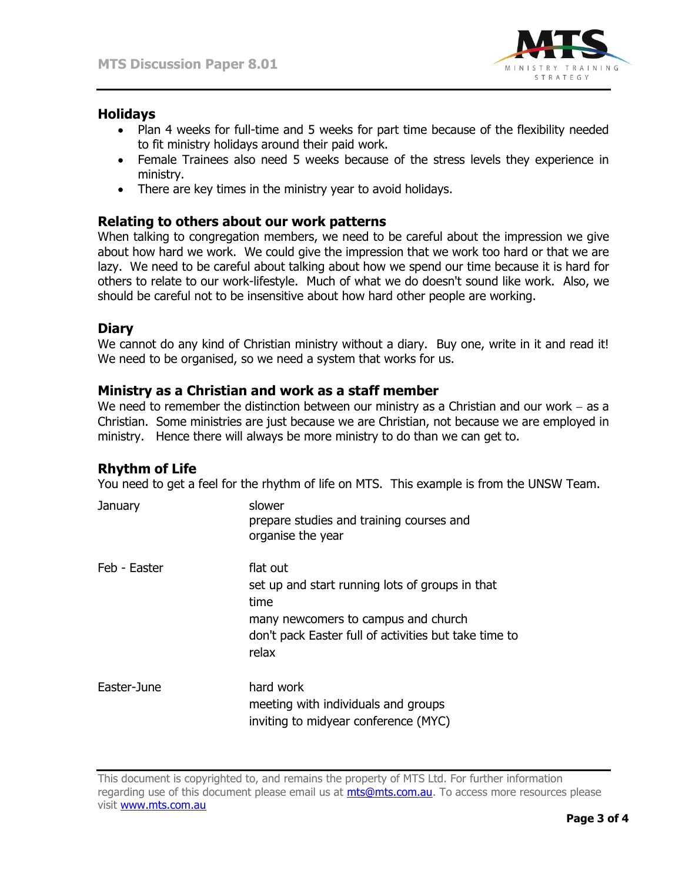

## **Holidays**

- Plan 4 weeks for full-time and 5 weeks for part time because of the flexibility needed to fit ministry holidays around their paid work.
- Female Trainees also need 5 weeks because of the stress levels they experience in ministry.
- There are key times in the ministry year to avoid holidays.

## **Relating to others about our work patterns**

When talking to congregation members, we need to be careful about the impression we give about how hard we work. We could give the impression that we work too hard or that we are lazy. We need to be careful about talking about how we spend our time because it is hard for others to relate to our work-lifestyle. Much of what we do doesn't sound like work. Also, we should be careful not to be insensitive about how hard other people are working.

## **Diary**

We cannot do any kind of Christian ministry without a diary. Buy one, write in it and read it! We need to be organised, so we need a system that works for us.

## **Ministry as a Christian and work as a staff member**

We need to remember the distinction between our ministry as a Christian and our work  $-$  as a Christian. Some ministries are just because we are Christian, not because we are employed in ministry. Hence there will always be more ministry to do than we can get to.

# **Rhythm of Life**

You need to get a feel for the rhythm of life on MTS. This example is from the UNSW Team.

| January      | slower<br>prepare studies and training courses and<br>organise the year                                                                                                      |
|--------------|------------------------------------------------------------------------------------------------------------------------------------------------------------------------------|
| Feb - Easter | flat out<br>set up and start running lots of groups in that<br>time<br>many newcomers to campus and church<br>don't pack Easter full of activities but take time to<br>relax |
| Easter-June  | hard work<br>meeting with individuals and groups<br>inviting to midyear conference (MYC)                                                                                     |

This document is copyrighted to, and remains the property of MTS Ltd. For further information regarding use of this document please email us at [mts@mts.com.au.](mailto:mts@mts.com.au) To access more resources please visit [www.mts.com.au](http://www.mts.com.au/)